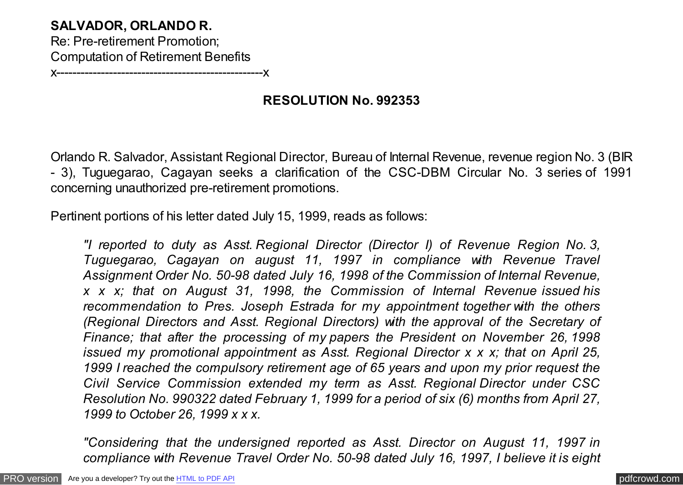## **SALVADOR, ORLANDO R.** Re: Pre-retirement Promotion; Computation of Retirement Benefits x---------------------------------------------------x

**RESOLUTION No. 992353**

Orlando R. Salvador, Assistant Regional Director, Bureau of Internal Revenue, revenue region No. 3 (BIR - 3), Tuguegarao, Cagayan seeks a clarification of the CSC-DBM Circular No. 3 series of 1991 concerning unauthorized pre-retirement promotions.

Pertinent portions of his letter dated July 15, 1999, reads as follows:

*"I reported to duty as Asst. Regional Director (Director I) of Revenue Region No. 3, Tuguegarao, Cagayan on august 11, 1997 in compliance with Revenue Travel Assignment Order No. 50-98 dated July 16, 1998 of the Commission of Internal Revenue, x x x; that on August 31, 1998, the Commission of Internal Revenue issued his recommendation to Pres. Joseph Estrada for my appointment together with the others (Regional Directors and Asst. Regional Directors) with the approval of the Secretary of Finance; that after the processing of my papers the President on November 26, 1998 issued my promotional appointment as Asst. Regional Director x x x; that on April 25, 1999 I reached the compulsory retirement age of 65 years and upon my prior request the Civil Service Commission extended my term as Asst. Regional Director under CSC Resolution No. 990322 dated February 1, 1999 for a period of six (6) months from April 27, 1999 to October 26, 1999 x x x.*

*"Considering that the undersigned reported as Asst. Director on August 11, 1997 in compliance with Revenue Travel Order No. 50-98 dated July 16, 1997, I believe it is eight*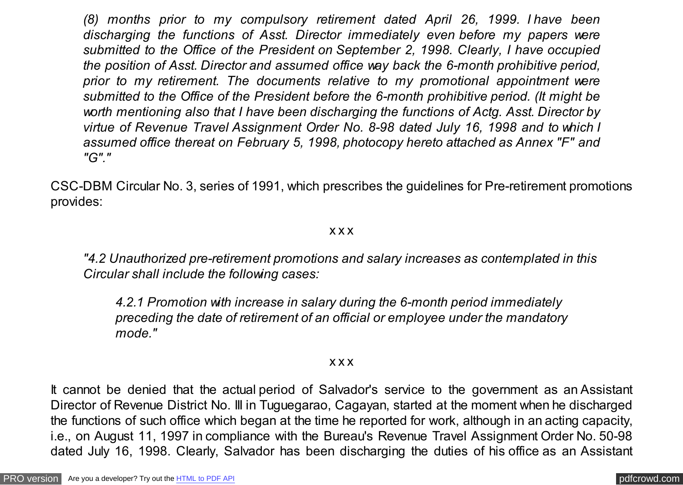*(8) months prior to my compulsory retirement dated April 26, 1999. I have been discharging the functions of Asst. Director immediately even before my papers were submitted to the Office of the President on September 2, 1998. Clearly, I have occupied the position of Asst. Director and assumed office way back the 6-month prohibitive period, prior to my retirement. The documents relative to my promotional appointment were submitted to the Office of the President before the 6-month prohibitive period. (It might be worth mentioning also that I have been discharging the functions of Actg. Asst. Director by virtue of Revenue Travel Assignment Order No. 8-98 dated July 16, 1998 and to which I assumed office thereat on February 5, 1998, photocopy hereto attached as Annex "F" and "G"."*

CSC-DBM Circular No. 3, series of 1991, which prescribes the guidelines for Pre-retirement promotions provides:

## x x x

*"4.2 Unauthorized pre-retirement promotions and salary increases as contemplated in this Circular shall include the following cases:*

*4.2.1 Promotion with increase in salary during the 6-month period immediately preceding the date of retirement of an official or employee under the mandatory mode."*

## x x x

It cannot be denied that the actual period of Salvador's service to the government as an Assistant Director of Revenue District No. III in Tuguegarao, Cagayan, started at the moment when he discharged the functions of such office which began at the time he reported for work, although in an acting capacity, i.e., on August 11, 1997 in compliance with the Bureau's Revenue Travel Assignment Order No. 50-98 dated July 16, 1998. Clearly, Salvador has been discharging the duties of his office as an Assistant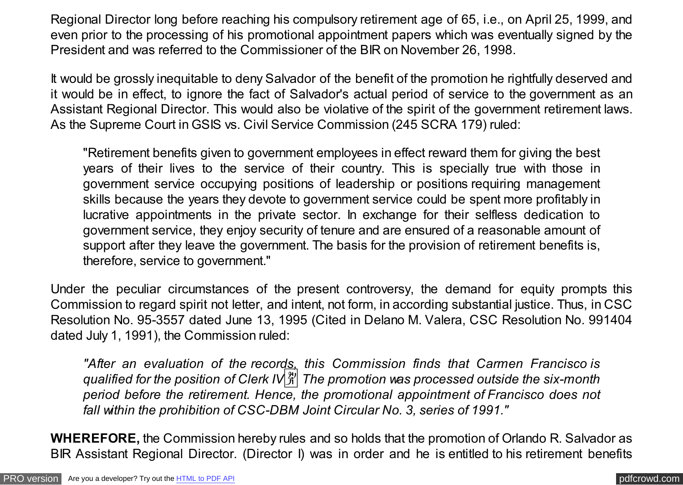Regional Director long before reaching his compulsory retirement age of 65, i.e., on April 25, 1999, and even prior to the processing of his promotional appointment papers which was eventually signed by the President and was referred to the Commissioner of the BIR on November 26, 1998.

It would be grossly inequitable to deny Salvador of the benefit of the promotion he rightfully deserved and it would be in effect, to ignore the fact of Salvador's actual period of service to the government as an Assistant Regional Director. This would also be violative of the spirit of the government retirement laws. As the Supreme Court in GSIS vs. Civil Service Commission (245 SCRA 179) ruled:

"Retirement benefits given to government employees in effect reward them for giving the best years of their lives to the service of their country. This is specially true with those in government service occupying positions of leadership or positions requiring management skills because the years they devote to government service could be spent more profitably in lucrative appointments in the private sector. In exchange for their selfless dedication to government service, they enjoy security of tenure and are ensured of a reasonable amount of support after they leave the government. The basis for the provision of retirement benefits is, therefore, service to government."

Under the peculiar circumstances of the present controversy, the demand for equity prompts this Commission to regard spirit not letter, and intent, not form, in according substantial justice. Thus, in CSC Resolution No. 95-3557 dated June 13, 1995 (Cited in Delano M. Valera, CSC Resolution No. 991404 dated July 1, 1991), the Commission ruled:

*"After an evaluation of the records, this Commission finds that Carmen Francisco is qualified for the position of Clerk IV*� *The promotion was processed outside the six-month period before the retirement. Hence, the promotional appointment of Francisco does not fall within the prohibition of CSC-DBM Joint Circular No. 3, series of 1991."*

**WHEREFORE,** the Commission hereby rules and so holds that the promotion of Orlando R. Salvador as BIR Assistant Regional Director. (Director I) was in order and he is entitled to his retirement benefits